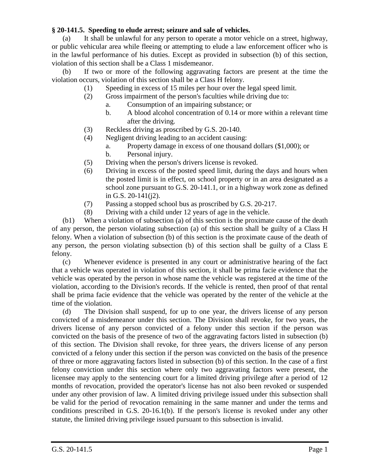## **§ 20-141.5. Speeding to elude arrest; seizure and sale of vehicles.**

(a) It shall be unlawful for any person to operate a motor vehicle on a street, highway, or public vehicular area while fleeing or attempting to elude a law enforcement officer who is in the lawful performance of his duties. Except as provided in subsection (b) of this section, violation of this section shall be a Class 1 misdemeanor.

(b) If two or more of the following aggravating factors are present at the time the violation occurs, violation of this section shall be a Class H felony.

- (1) Speeding in excess of 15 miles per hour over the legal speed limit.
- (2) Gross impairment of the person's faculties while driving due to:
	- a. Consumption of an impairing substance; or
	- b. A blood alcohol concentration of 0.14 or more within a relevant time after the driving.
- (3) Reckless driving as proscribed by G.S. 20-140.
- (4) Negligent driving leading to an accident causing:
	- a. Property damage in excess of one thousand dollars (\$1,000); or
	- b. Personal injury.
- (5) Driving when the person's drivers license is revoked.
- (6) Driving in excess of the posted speed limit, during the days and hours when the posted limit is in effect, on school property or in an area designated as a school zone pursuant to G.S. 20-141.1, or in a highway work zone as defined in G.S. 20-141(j2).
- (7) Passing a stopped school bus as proscribed by G.S. 20-217.
- (8) Driving with a child under 12 years of age in the vehicle.

(b1) When a violation of subsection (a) of this section is the proximate cause of the death of any person, the person violating subsection (a) of this section shall be guilty of a Class H felony. When a violation of subsection (b) of this section is the proximate cause of the death of any person, the person violating subsection (b) of this section shall be guilty of a Class E felony.

(c) Whenever evidence is presented in any court or administrative hearing of the fact that a vehicle was operated in violation of this section, it shall be prima facie evidence that the vehicle was operated by the person in whose name the vehicle was registered at the time of the violation, according to the Division's records. If the vehicle is rented, then proof of that rental shall be prima facie evidence that the vehicle was operated by the renter of the vehicle at the time of the violation.

(d) The Division shall suspend, for up to one year, the drivers license of any person convicted of a misdemeanor under this section. The Division shall revoke, for two years, the drivers license of any person convicted of a felony under this section if the person was convicted on the basis of the presence of two of the aggravating factors listed in subsection (b) of this section. The Division shall revoke, for three years, the drivers license of any person convicted of a felony under this section if the person was convicted on the basis of the presence of three or more aggravating factors listed in subsection (b) of this section. In the case of a first felony conviction under this section where only two aggravating factors were present, the licensee may apply to the sentencing court for a limited driving privilege after a period of 12 months of revocation, provided the operator's license has not also been revoked or suspended under any other provision of law. A limited driving privilege issued under this subsection shall be valid for the period of revocation remaining in the same manner and under the terms and conditions prescribed in G.S. 20-16.1(b). If the person's license is revoked under any other statute, the limited driving privilege issued pursuant to this subsection is invalid.